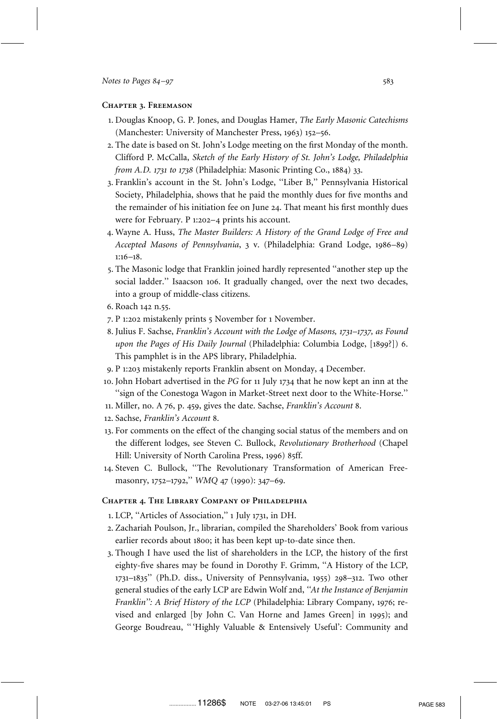## **Chapter 3. Freemason**

- 1. Douglas Knoop, G. P. Jones, and Douglas Hamer, *The Early Masonic Catechisms* (Manchester: University of Manchester Press, 1963) 152–56.
- 2. The date is based on St. John's Lodge meeting on the first Monday of the month. Clifford P. McCalla, *Sketch of the Early History of St. John's Lodge, Philadelphia from A.D. 1731 to 1738* (Philadelphia: Masonic Printing Co., 1884) 33.
- 3. Franklin's account in the St. John's Lodge, ''Liber B,'' Pennsylvania Historical Society, Philadelphia, shows that he paid the monthly dues for five months and the remainder of his initiation fee on June 24. That meant his first monthly dues were for February. P 1:202–4 prints his account.
- 4. Wayne A. Huss, *The Master Builders: A History of the Grand Lodge of Free and Accepted Masons of Pennsylvania*, 3 v. (Philadelphia: Grand Lodge, 1986–89) 1:16–18.
- 5. The Masonic lodge that Franklin joined hardly represented ''another step up the social ladder.'' Isaacson 106. It gradually changed, over the next two decades, into a group of middle-class citizens.
- 6. Roach 142 n.55.
- 7. P 1:202 mistakenly prints 5 November for 1 November.
- 8. Julius F. Sachse, *Franklin's Account with the Lodge of Masons, 1731–1737, as Found upon the Pages of His Daily Journal* (Philadelphia: Columbia Lodge, [1899?]) 6. This pamphlet is in the APS library, Philadelphia.
- 9. P 1:203 mistakenly reports Franklin absent on Monday, 4 December.
- 10. John Hobart advertised in the *PG* for 11 July 1734 that he now kept an inn at the ''sign of the Conestoga Wagon in Market-Street next door to the White-Horse.''
- 11. Miller, no. A 76, p. 459, gives the date. Sachse, *Franklin's Account* 8.
- 12. Sachse, *Franklin's Account* 8.
- 13. For comments on the effect of the changing social status of the members and on the different lodges, see Steven C. Bullock, *Revolutionary Brotherhood* (Chapel Hill: University of North Carolina Press, 1996) 85ff.
- 14. Steven C. Bullock, ''The Revolutionary Transformation of American Freemasonry, 1752–1792,'' *WMQ* 47 (1990): 347–69.

## **Chapter 4. The Library Company of Philadelphia**

- 1. LCP, ''Articles of Association,'' 1 July 1731, in DH.
- 2. Zachariah Poulson, Jr., librarian, compiled the Shareholders' Book from various earlier records about 1800; it has been kept up-to-date since then.
- 3. Though I have used the list of shareholders in the LCP, the history of the first eighty-five shares may be found in Dorothy F. Grimm, ''A History of the LCP, 1731–1835'' (Ph.D. diss., University of Pennsylvania, 1955) 298–312. Two other general studies of the early LCP are Edwin Wolf 2nd, *''At the Instance of Benjamin Franklin'': A Brief History of the LCP* (Philadelphia: Library Company, 1976; revised and enlarged [by John C. Van Horne and James Green] in 1995); and George Boudreau, '' 'Highly Valuable & Entensively Useful': Community and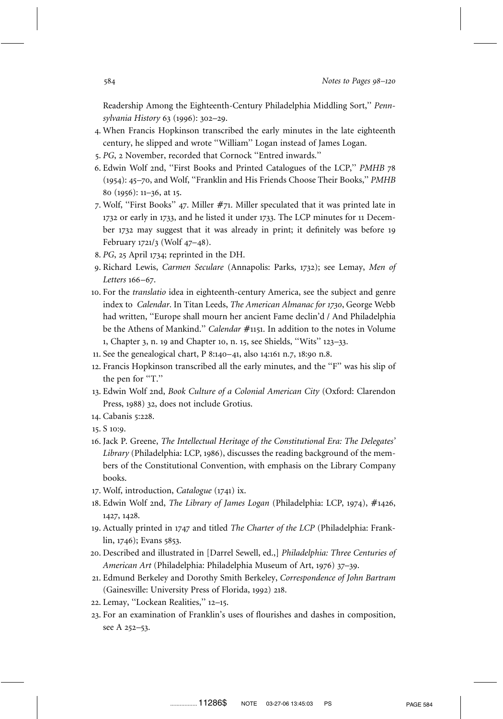Readership Among the Eighteenth-Century Philadelphia Middling Sort,'' *Pennsylvania History* 63 (1996): 302–29.

- 4. When Francis Hopkinson transcribed the early minutes in the late eighteenth century, he slipped and wrote ''William'' Logan instead of James Logan.
- 5. *PG*, 2 November, recorded that Cornock ''Entred inwards.''
- 6. Edwin Wolf 2nd, ''First Books and Printed Catalogues of the LCP,'' *PMHB* 78 (1954): 45–70, and Wolf, ''Franklin and His Friends Choose Their Books,'' *PMHB* 80 (1956): 11–36, at 15.
- 7. Wolf, "First Books" 47. Miller #71. Miller speculated that it was printed late in 1732 or early in 1733, and he listed it under 1733. The LCP minutes for 11 December 1732 may suggest that it was already in print; it definitely was before 19 February 1721/3 (Wolf 47–48).
- 8. *PG*, 25 April 1734; reprinted in the DH.
- 9. Richard Lewis, *Carmen Seculare* (Annapolis: Parks, 1732); see Lemay, *Men of Letters* 166–67.
- 10. For the *translatio* idea in eighteenth-century America, see the subject and genre index to *Calendar*. In Titan Leeds, *The American Almanac for 1730*, George Webb had written, ''Europe shall mourn her ancient Fame declin'd / And Philadelphia be the Athens of Mankind." *Calendar #*1151. In addition to the notes in Volume 1, Chapter 3, n. 19 and Chapter 10, n. 15, see Shields, ''Wits'' 123–33.
- 11. See the genealogical chart, P 8:140–41, also 14:161 n.7, 18:90 n.8.
- 12. Francis Hopkinson transcribed all the early minutes, and the ''F'' was his slip of the pen for "T."
- 13. Edwin Wolf 2nd, *Book Culture of a Colonial American City* (Oxford: Clarendon Press, 1988) 32, does not include Grotius.
- 14. Cabanis 5:228.
- 15. S 10:9.
- 16. Jack P. Greene, *The Intellectual Heritage of the Constitutional Era: The Delegates' Library* (Philadelphia: LCP, 1986), discusses the reading background of the members of the Constitutional Convention, with emphasis on the Library Company books.
- 17. Wolf, introduction, *Catalogue* (1741) ix.
- 18. Edwin Wolf 2nd, *The Library of James Logan* (Philadelphia: LCP, 1974), #1426, 1427, 1428.
- 19. Actually printed in 1747 and titled *The Charter of the LCP* (Philadelphia: Franklin, 1746); Evans 5853.
- 20. Described and illustrated in [Darrel Sewell, ed.,] *Philadelphia: Three Centuries of American Art* (Philadelphia: Philadelphia Museum of Art, 1976) 37–39.
- 21. Edmund Berkeley and Dorothy Smith Berkeley, *Correspondence of John Bartram* (Gainesville: University Press of Florida, 1992) 218.
- 22. Lemay, ''Lockean Realities,'' 12–15.
- 23. For an examination of Franklin's uses of flourishes and dashes in composition, see A 252–53.